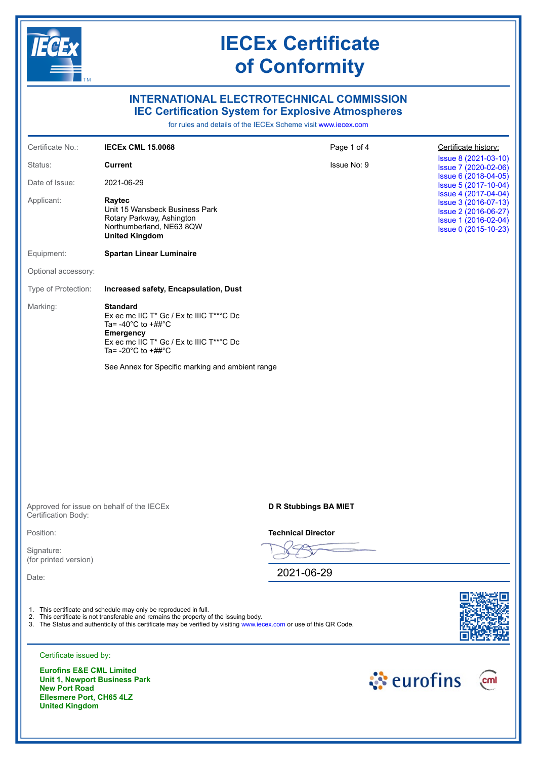

**Ellesmere Port, CH65 4LZ** 

**United Kingdom**

## **IECEx Certificate of Conformity**

## **INTERNATIONAL ELECTROTECHNICAL COMMISSION IEC Certification System for Explosive Atmospheres**

for rules and details of the IECEx Scheme visit [www.iecex.com](https://www.iecex.com)

| Certificate No.:                                                                                    | <b>IECEX CML 15.0068</b>                                                                                                                                                                                                                                                          | Page 1 of 4               |            | Certificate history:                                                                                                 |
|-----------------------------------------------------------------------------------------------------|-----------------------------------------------------------------------------------------------------------------------------------------------------------------------------------------------------------------------------------------------------------------------------------|---------------------------|------------|----------------------------------------------------------------------------------------------------------------------|
| Status:                                                                                             | <b>Current</b>                                                                                                                                                                                                                                                                    | Issue No: 9               |            | Issue 8 (2021-03-10)<br>Issue 7 (2020-02-06)                                                                         |
| Date of Issue:                                                                                      | 2021-06-29                                                                                                                                                                                                                                                                        |                           |            | Issue 6 (2018-04-05)<br>Issue 5 (2017-10-04)                                                                         |
| Applicant:                                                                                          | Raytec<br>Unit 15 Wansbeck Business Park<br>Rotary Parkway, Ashington<br>Northumberland, NE63 8QW<br><b>United Kingdom</b>                                                                                                                                                        |                           |            | Issue 4 (2017-04-04)<br>Issue 3 (2016-07-13)<br>Issue 2 (2016-06-27)<br>Issue 1 (2016-02-04)<br>Issue 0 (2015-10-23) |
| Equipment:                                                                                          | <b>Spartan Linear Luminaire</b>                                                                                                                                                                                                                                                   |                           |            |                                                                                                                      |
| Optional accessory:                                                                                 |                                                                                                                                                                                                                                                                                   |                           |            |                                                                                                                      |
| Type of Protection:                                                                                 | Increased safety, Encapsulation, Dust                                                                                                                                                                                                                                             |                           |            |                                                                                                                      |
| Marking:                                                                                            | <b>Standard</b><br>Ex ec mc IIC T* Gc / Ex tc IIIC T**°C Dc<br>Ta= -40 $^{\circ}$ C to +## $^{\circ}$ C<br><b>Emergency</b><br>Ex ec mc IIC T* Gc / Ex tc IIIC T**°C Dc<br>Ta= -20 $^{\circ}$ C to +## $^{\circ}$ C                                                               |                           |            |                                                                                                                      |
|                                                                                                     | See Annex for Specific marking and ambient range                                                                                                                                                                                                                                  |                           |            |                                                                                                                      |
|                                                                                                     |                                                                                                                                                                                                                                                                                   |                           |            |                                                                                                                      |
|                                                                                                     |                                                                                                                                                                                                                                                                                   |                           |            |                                                                                                                      |
|                                                                                                     |                                                                                                                                                                                                                                                                                   |                           |            |                                                                                                                      |
|                                                                                                     |                                                                                                                                                                                                                                                                                   |                           |            |                                                                                                                      |
|                                                                                                     |                                                                                                                                                                                                                                                                                   |                           |            |                                                                                                                      |
| Approved for issue on behalf of the IECEx<br>Certification Body:                                    |                                                                                                                                                                                                                                                                                   | D R Stubbings BA MIET     |            |                                                                                                                      |
| Position:                                                                                           |                                                                                                                                                                                                                                                                                   | <b>Technical Director</b> |            |                                                                                                                      |
| Signature:<br>(for printed version)                                                                 |                                                                                                                                                                                                                                                                                   |                           |            |                                                                                                                      |
| Date:                                                                                               |                                                                                                                                                                                                                                                                                   | 2021-06-29                |            |                                                                                                                      |
|                                                                                                     |                                                                                                                                                                                                                                                                                   |                           |            |                                                                                                                      |
|                                                                                                     | 1. This certificate and schedule may only be reproduced in full.<br>2. This certificate is not transferable and remains the property of the issuing body.<br>3. The Status and authenticity of this certificate may be verified by visiting www.iecex.com or use of this QR Code. |                           |            |                                                                                                                      |
| Certificate issued by:                                                                              |                                                                                                                                                                                                                                                                                   |                           |            |                                                                                                                      |
| <b>Eurofins E&amp;E CML Limited</b><br><b>Unit 1, Newport Business Park</b><br><b>New Port Road</b> |                                                                                                                                                                                                                                                                                   |                           | े eurofins | cml                                                                                                                  |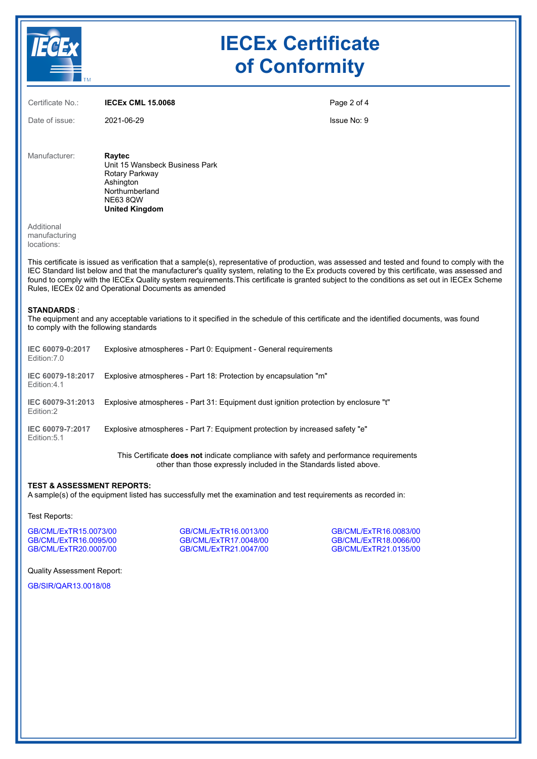

## **IECEx Certificate of Conformity**

| Certificate No.:                          | <b>IECEX CML 15,0068</b>                                                                                                              | Page 2 of 4 |
|-------------------------------------------|---------------------------------------------------------------------------------------------------------------------------------------|-------------|
| Date of issue:                            | 2021-06-29                                                                                                                            | Issue No: 9 |
| Manufacturer:                             | Raytec<br>Unit 15 Wansbeck Business Park<br>Rotary Parkway<br>Ashington<br>Northumberland<br><b>NE63 8QW</b><br><b>United Kingdom</b> |             |
| Additional<br>manufacturing<br>locations: |                                                                                                                                       |             |

This certificate is issued as verification that a sample(s), representative of production, was assessed and tested and found to comply with the IEC Standard list below and that the manufacturer's quality system, relating to the Ex products covered by this certificate, was assessed and found to comply with the IECEx Quality system requirements.This certificate is granted subject to the conditions as set out in IECEx Scheme Rules, IECEx 02 and Operational Documents as amended

#### **STANDARDS** :

The equipment and any acceptable variations to it specified in the schedule of this certificate and the identified documents, was found to comply with the following standards

| IEC 60079-0:2017<br>Edition: 7.0 | Explosive atmospheres - Part 0: Equipment - General requirements                     |
|----------------------------------|--------------------------------------------------------------------------------------|
| IEC 60079-18:2017<br>Edition:4.1 | Explosive atmospheres - Part 18: Protection by encapsulation "m"                     |
| IEC 60079-31:2013<br>Edition:2   | Explosive atmospheres - Part 31: Equipment dust ignition protection by enclosure "t" |
| IEC 60079-7:2017<br>Edition: 5.1 | Explosive atmospheres - Part 7: Equipment protection by increased safety "e"         |
|                                  |                                                                                      |

This Certificate **does not** indicate compliance with safety and performance requirements other than those expressly included in the Standards listed above.

#### **TEST & ASSESSMENT REPORTS:**

A sample(s) of the equipment listed has successfully met the examination and test requirements as recorded in:

#### Test Reports:

[GB/CML/ExTR15.0073/00](https://www.iecex-certs.com/deliverables/REPORT/20852/view) [GB/CML/ExTR16.0013/00](https://www.iecex-certs.com/deliverables/REPORT/20968/view) [GB/CML/ExTR16.0083/00](https://www.iecex-certs.com/deliverables/REPORT/20906/view) [GB/CML/ExTR16.0095/00](https://www.iecex-certs.com/deliverables/REPORT/20943/view) [GB/CML/ExTR17.0048/00](https://www.iecex-certs.com/deliverables/REPORT/21933/view) [GB/CML/ExTR18.0066/00](https://www.iecex-certs.com/deliverables/REPORT/22017/view)

[GB/CML/ExTR21.0047/00](https://www.iecex-certs.com/deliverables/REPORT/71562/view)

Quality Assessment Report:

[GB/SIR/QAR13.0018/08](https://www.iecex-certs.com/deliverables/REPORT/69183/view)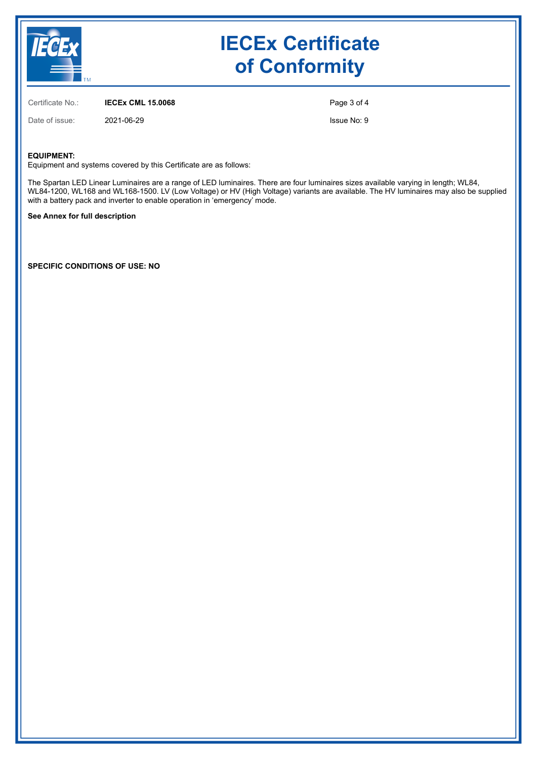

## **IECEx Certificate of Conformity**

Certificate No.: **IECEx CML 15.0068**

Date of issue: 2021-06-29

Page 3 of 4

Issue No: 9

#### **EQUIPMENT:**

Equipment and systems covered by this Certificate are as follows:

The Spartan LED Linear Luminaires are a range of LED luminaires. There are four luminaires sizes available varying in length; WL84, WL84-1200, WL168 and WL168-1500. LV (Low Voltage) or HV (High Voltage) variants are available. The HV luminaires may also be supplied with a battery pack and inverter to enable operation in 'emergency' mode.

#### **See Annex for full description**

**SPECIFIC CONDITIONS OF USE: NO**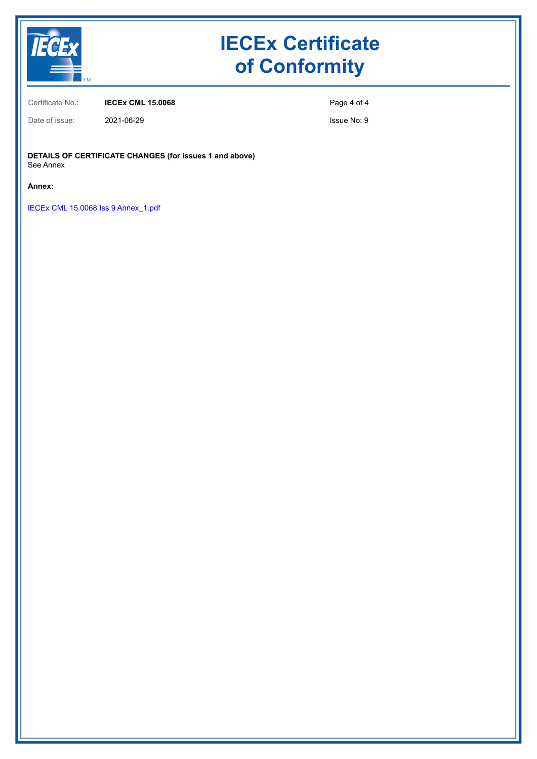

# **IECEx Certificate of Conformity**

Certificate No.: **IECEx CML 15.0068**

Page 4 of 4

Issue No: 9

**DETAILS OF CERTIFICATE CHANGES (for issues 1 and above)** See Annex

**Annex:**

[IECEx CML 15.0068 Iss 9 Annex\\_1.pdf](https://www.iecex-certs.com/deliverables/CERT/55173/view)

Date of issue: 2021-06-29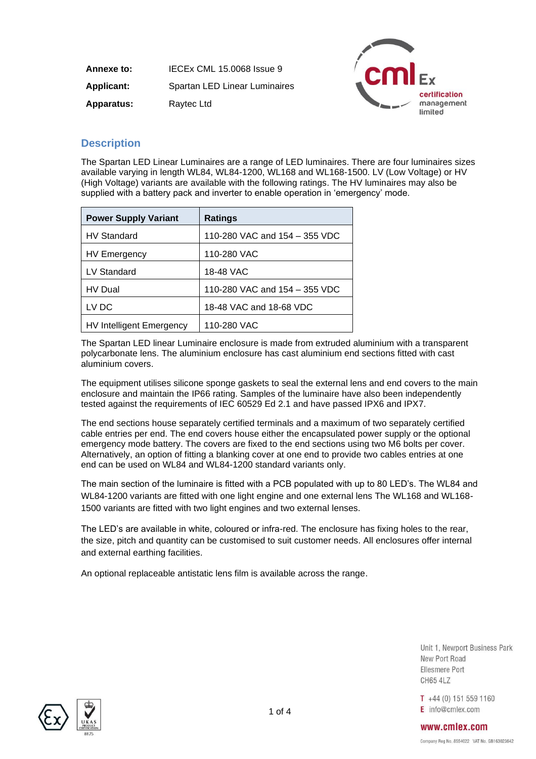| Annexe to:        | IECEX CML 15.0068 Issue 9     |
|-------------------|-------------------------------|
| <b>Applicant:</b> | Spartan LED Linear Luminaires |
| <b>Apparatus:</b> | Raytec Ltd                    |



### **Description**

The Spartan LED Linear Luminaires are a range of LED luminaires. There are four luminaires sizes available varying in length WL84, WL84-1200, WL168 and WL168-1500. LV (Low Voltage) or HV (High Voltage) variants are available with the following ratings. The HV luminaires may also be supplied with a battery pack and inverter to enable operation in 'emergency' mode.

| <b>Power Supply Variant</b>     | <b>Ratings</b>                |
|---------------------------------|-------------------------------|
| <b>HV Standard</b>              | 110-280 VAC and 154 - 355 VDC |
| <b>HV Emergency</b>             | 110-280 VAC                   |
| LV Standard                     | 18-48 VAC                     |
| <b>HV</b> Dual                  | 110-280 VAC and 154 - 355 VDC |
| LV DC                           | 18-48 VAC and 18-68 VDC       |
| <b>HV Intelligent Emergency</b> | 110-280 VAC                   |

The Spartan LED linear Luminaire enclosure is made from extruded aluminium with a transparent polycarbonate lens. The aluminium enclosure has cast aluminium end sections fitted with cast aluminium covers.

The equipment utilises silicone sponge gaskets to seal the external lens and end covers to the main enclosure and maintain the IP66 rating. Samples of the luminaire have also been independently tested against the requirements of IEC 60529 Ed 2.1 and have passed IPX6 and IPX7.

The end sections house separately certified terminals and a maximum of two separately certified cable entries per end. The end covers house either the encapsulated power supply or the optional emergency mode battery. The covers are fixed to the end sections using two M6 bolts per cover. Alternatively, an option of fitting a blanking cover at one end to provide two cables entries at one end can be used on WL84 and WL84-1200 standard variants only.

The main section of the luminaire is fitted with a PCB populated with up to 80 LED's. The WL84 and WL84-1200 variants are fitted with one light engine and one external lens The WL168 and WL168- 1500 variants are fitted with two light engines and two external lenses.

The LED's are available in white, coloured or infra-red. The enclosure has fixing holes to the rear, the size, pitch and quantity can be customised to suit customer needs. All enclosures offer internal and external earthing facilities.

An optional replaceable antistatic lens film is available across the range.

Unit 1, Newport Business Park New Port Road Ellesmere Port **CH65 4LZ** 

 $T +44(0) 151 559 1160$ E info@cmlex.com



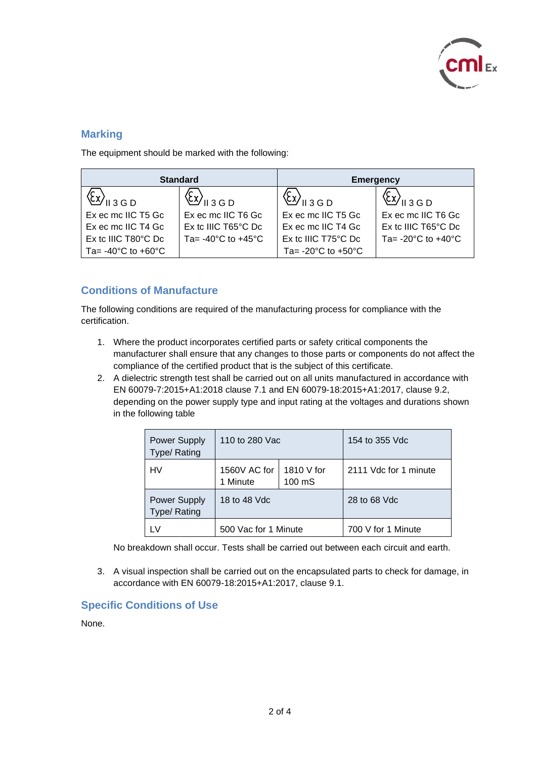

### **Marking**

The equipment should be marked with the following:

| <b>Standard</b>                                          |                                        | <b>Emergency</b>                       |                                        |
|----------------------------------------------------------|----------------------------------------|----------------------------------------|----------------------------------------|
| $\langle \xi x \rangle_{\text{l}13\,\text{G}\,\text{D}}$ | /    3 G D                             | ( <i>ک</i> لا) <sub>اا ۱۱</sub> ۱      | $II$ 3 G D                             |
| Ex ec mc IIC T5 Gc                                       | Ex ec mc IIC T6 Gc                     | Ex ec mc IIC T5 Gc                     | Ex ec mc IIC T6 Gc                     |
| Ex ec mc IIC T4 Gc                                       | Ex to IIIC T65°C Dc                    | Ex ec mc IIC T4 Gc                     | Ex to IIIC T65°C Dc                    |
| Ex to IIIC T80°C Dc                                      | Ta= $-40^{\circ}$ C to $+45^{\circ}$ C | Ex to IIIC T75°C Dc                    | Ta= $-20^{\circ}$ C to $+40^{\circ}$ C |
| Ta= $-40^{\circ}$ C to $+60^{\circ}$ C                   |                                        | Ta= $-20^{\circ}$ C to $+50^{\circ}$ C |                                        |

### **Conditions of Manufacture**

The following conditions are required of the manufacturing process for compliance with the certification.

- 1. Where the product incorporates certified parts or safety critical components the manufacturer shall ensure that any changes to those parts or components do not affect the compliance of the certified product that is the subject of this certificate.
- 2. A dielectric strength test shall be carried out on all units manufactured in accordance with EN 60079-7:2015+A1:2018 clause 7.1 and EN 60079-18:2015+A1:2017, clause 9.2, depending on the power supply type and input rating at the voltages and durations shown in the following table

| <b>Power Supply</b><br>Type/ Rating | 110 to 280 Vac           |                      | 154 to 355 Vdc        |
|-------------------------------------|--------------------------|----------------------|-----------------------|
| HV                                  | 1560V AC for<br>1 Minute | 1810 V for<br>100 mS | 2111 Vdc for 1 minute |
| <b>Power Supply</b><br>Type/ Rating | 18 to 48 Vdc             |                      | 28 to 68 Vdc          |
|                                     | 500 Vac for 1 Minute     |                      | 700 V for 1 Minute    |

No breakdown shall occur. Tests shall be carried out between each circuit and earth.

3. A visual inspection shall be carried out on the encapsulated parts to check for damage, in accordance with EN 60079-18:2015+A1:2017, clause 9.1.

### **Specific Conditions of Use**

None.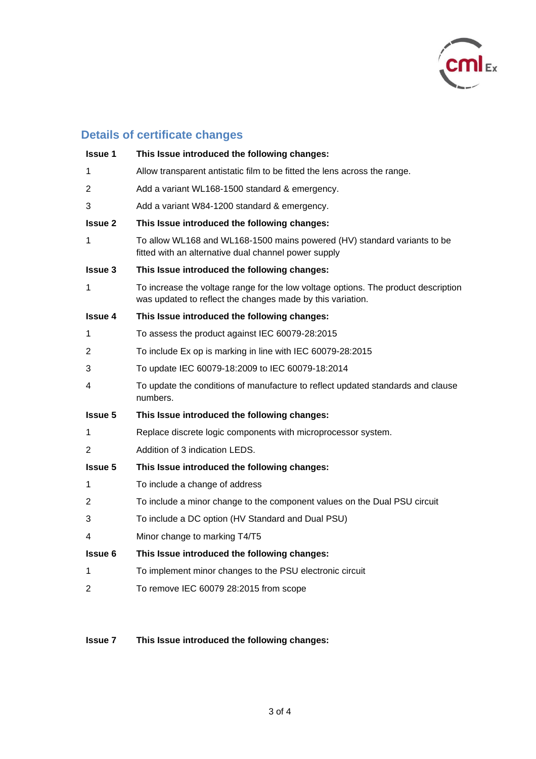

## **Details of certificate changes**

| <b>Issue 1</b> | This Issue introduced the following changes:                                                                                                     |
|----------------|--------------------------------------------------------------------------------------------------------------------------------------------------|
| 1              | Allow transparent antistatic film to be fitted the lens across the range.                                                                        |
| 2              | Add a variant WL168-1500 standard & emergency.                                                                                                   |
| 3              | Add a variant W84-1200 standard & emergency.                                                                                                     |
| <b>Issue 2</b> | This Issue introduced the following changes:                                                                                                     |
| 1              | To allow WL168 and WL168-1500 mains powered (HV) standard variants to be<br>fitted with an alternative dual channel power supply                 |
| <b>Issue 3</b> | This Issue introduced the following changes:                                                                                                     |
| 1              | To increase the voltage range for the low voltage options. The product description<br>was updated to reflect the changes made by this variation. |
| <b>Issue 4</b> | This Issue introduced the following changes:                                                                                                     |
| 1              | To assess the product against IEC 60079-28:2015                                                                                                  |
| 2              | To include Ex op is marking in line with IEC 60079-28:2015                                                                                       |
| 3              | To update IEC 60079-18:2009 to IEC 60079-18:2014                                                                                                 |
| 4              | To update the conditions of manufacture to reflect updated standards and clause<br>numbers.                                                      |
| <b>Issue 5</b> | This Issue introduced the following changes:                                                                                                     |
| 1              | Replace discrete logic components with microprocessor system.                                                                                    |
| 2              | Addition of 3 indication LEDS.                                                                                                                   |
| <b>Issue 5</b> | This Issue introduced the following changes:                                                                                                     |
| 1              | To include a change of address                                                                                                                   |
| 2              | To include a minor change to the component values on the Dual PSU circuit                                                                        |
| 3              | To include a DC option (HV Standard and Dual PSU)                                                                                                |
| 4              | Minor change to marking T4/T5                                                                                                                    |
| <b>Issue 6</b> | This Issue introduced the following changes:                                                                                                     |
| 1              | To implement minor changes to the PSU electronic circuit                                                                                         |
| 2              | To remove IEC 60079 28:2015 from scope                                                                                                           |

## **Issue 7 This Issue introduced the following changes:**